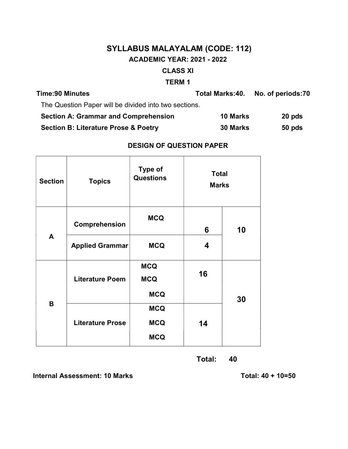# SYLLABUS MALAYALAM (CODE: 112) ACADEMIC YEAR: 2021 - 2022 CLASS XI

#### TERM 1

| <b>Time:90 Minutes</b>                                | Total Marks:40. | No. of periods:70 |
|-------------------------------------------------------|-----------------|-------------------|
| The Question Paper will be divided into two sections. |                 |                   |
| <b>Section A: Grammar and Comprehension</b>           | <b>10 Marks</b> | 20 pds            |
| <b>Section B: Literature Prose &amp; Poetry</b>       | <b>30 Marks</b> | 50 pds            |

# DESIGN OF QUESTION PAPER

| <b>Section</b> | <b>Topics</b>               | <b>Type of</b><br><b>Questions</b>     | <b>Total</b><br><b>Marks</b> |    |  |
|----------------|-----------------------------|----------------------------------------|------------------------------|----|--|
|                | <b>MCQ</b><br>Comprehension |                                        | 6                            | 10 |  |
| A              | <b>Applied Grammar</b>      | <b>MCQ</b>                             | 4                            |    |  |
|                | <b>Literature Poem</b>      | <b>MCQ</b><br><b>MCQ</b><br><b>MCQ</b> | 16                           | 30 |  |
| B              | <b>Literature Prose</b>     | <b>MCQ</b><br><b>MCQ</b><br><b>MCQ</b> | 14                           |    |  |

Total: 40

Internal Assessment: 10 Marks Total: 40 + 10=50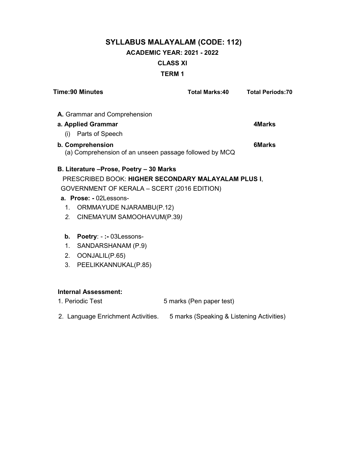# SYLLABUS MALAYALAM (CODE: 112) ACADEMIC YEAR: 2021 - 2022 CLASS XI TERM 1

| <b>Time:90 Minutes</b>                                                     | <b>Total Marks:40</b>                     | <b>Total Periods:70</b> |
|----------------------------------------------------------------------------|-------------------------------------------|-------------------------|
| A. Grammar and Comprehension                                               |                                           |                         |
| a. Applied Grammar                                                         |                                           | <b>4Marks</b>           |
| (i) Parts of Speech                                                        |                                           |                         |
| b. Comprehension<br>(a) Comprehension of an unseen passage followed by MCQ |                                           | <b>6Marks</b>           |
| B. Literature - Prose, Poetry - 30 Marks                                   |                                           |                         |
| PRESCRIBED BOOK: HIGHER SECONDARY MALAYALAM PLUS I,                        |                                           |                         |
| GOVERNMENT OF KERALA - SCERT (2016 EDITION)                                |                                           |                         |
| a. Prose: - 02Lessons-                                                     |                                           |                         |
| <b>ORMMAYUDE NJARAMBU(P.12)</b><br>1.                                      |                                           |                         |
| 2. CINEMAYUM SAMOOHAVUM(P.39)                                              |                                           |                         |
| Poetry: -:- 03Lessons-<br>b.                                               |                                           |                         |
| SANDARSHANAM (P.9)<br>1.                                                   |                                           |                         |
| OONJALIL(P.65)<br>2.                                                       |                                           |                         |
| PEELIKKANNUKAL(P.85)<br>3.                                                 |                                           |                         |
|                                                                            |                                           |                         |
| <b>Internal Assessment:</b>                                                |                                           |                         |
| 1. Periodic Test                                                           | 5 marks (Pen paper test)                  |                         |
| 2. Language Enrichment Activities.                                         | 5 marks (Speaking & Listening Activities) |                         |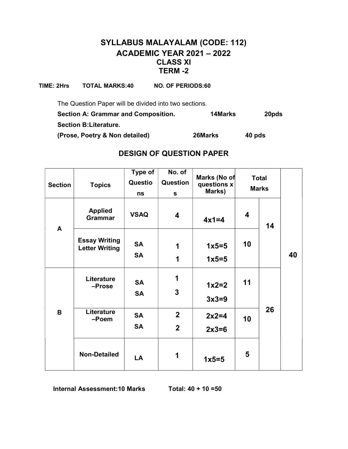# SYLLABUS MALAYALAM (CODE: 112) ACADEMIC YEAR 2021 – 2022 CLASS XI TERM -2

TIME: 2Hrs TOTAL MARKS:40 NO. OF PERIODS:60

The Question Paper will be divided into two sections.

| <b>Section A: Grammar and Composition.</b> | <b>14Marks</b> | 20pds  |
|--------------------------------------------|----------------|--------|
| <b>Section B: Literature.</b>              |                |        |
| (Prose, Poetry & Non detailed)             | 26Marks        | 40 pds |

## DESIGN OF QUESTION PAPER

|                |                                               | Type of     | No. of         | Marks (No of |                                                                                             |  |
|----------------|-----------------------------------------------|-------------|----------------|--------------|---------------------------------------------------------------------------------------------|--|
| <b>Section</b> | <b>Topics</b>                                 | Questio     | Question       | questions x  |                                                                                             |  |
|                |                                               | ns          | S              | Marks)       | <b>Total</b><br><b>Marks</b><br>$\overline{\mathbf{4}}$<br>14<br>10<br>40<br>11<br>26<br>10 |  |
| A              | <b>Applied</b><br><b>Grammar</b>              | <b>VSAQ</b> | 4              | $4x1=4$      |                                                                                             |  |
|                | <b>Essay Writing</b><br><b>Letter Writing</b> | <b>SA</b>   | 1              | $1x5=5$      |                                                                                             |  |
|                |                                               | <b>SA</b>   | 1              | $1x5=5$      |                                                                                             |  |
|                | Literature                                    | <b>SA</b>   | 1              | $1x2=2$      |                                                                                             |  |
|                | -Prose                                        | <b>SA</b>   | 3              | $3x3=9$      |                                                                                             |  |
| B              | Literature<br>-Poem                           | <b>SA</b>   | $\overline{2}$ | $2x2=4$      |                                                                                             |  |
|                |                                               | <b>SA</b>   | $\overline{2}$ | $2x3=6$      |                                                                                             |  |
|                | <b>Non-Detailed</b>                           | LA          | 1              | $1x5=5$      | 5                                                                                           |  |

Internal Assessment:10 Marks Total: 40 + 10 =50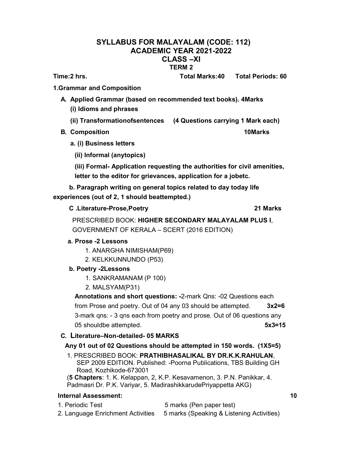#### SYLLABUS FOR MALAYALAM (CODE: 112) ACADEMIC YEAR 2021-2022 CLASS –XI TERM 2

Time:2 hrs. Total Marks:40 Total Periods: 60

1.Grammar and Composition

- A. Applied Grammar (based on recommended text books). 4Marks (i) Idioms and phrases
	- (ii) Transformationofsentences (4 Questions carrying 1 Mark each)
- B. Composition **10Marks** 
	- a. (i) Business letters
		- (ii) Informal (anytopics)

(iii) Formal- Application requesting the authorities for civil amenities, letter to the editor for grievances, application for a jobetc.

b. Paragraph writing on general topics related to day today life experiences (out of 2, 1 should beattempted.)

C .Literature-Prose,Poetry 21 Marks

PRESCRIBED BOOK: HIGHER SECONDARY MALAYALAM PLUS I, GOVERNMENT OF KERALA – SCERT (2016 EDITION)

### a. Prose -2 Lessons

- 1. ANARGHA NIMISHAM(P69)
- 2. KELKKUNNUNDO (P53)
- b. Poetry -2Lessons
	- 1. SANKRAMANAM (P 100)
	- 2. MALSYAM(P31)

Annotations and short questions: -2-mark Qns: -02 Questions each from Prose and poetry. Out of 04 any 03 should be attempted.  $3x2=6$ 3-mark qns: - 3 qns each from poetry and prose. Out of 06 questions any 05 shouldbe attempted. 6x3=15

### C. Literature–Non-detailed- 05 MARKS

### Any 01 out of 02 Questions should be attempted in 150 words. (1X5=5)

- 1. PRESCRIBED BOOK: PRATHIBHASALIKAL BY DR.K.K.RAHULAN, SEP 2009 EDITION. Published: -Poorna Publications, TBS Building GH Road, Kozhikode-673001
- (5 Chapters: 1. K. Kelappan, 2, K.P. Kesavamenon, 3. P.N. Panikkar, 4. Padmasri Dr. P.K. Variyar, 5. MadirashikkarudePriyappetta AKG)

### Internal Assessment: 10

- 1. Periodic Test 5 marks (Pen paper test)
- 
- 2. Language Enrichment Activities 5 marks (Speaking & Listening Activities)
-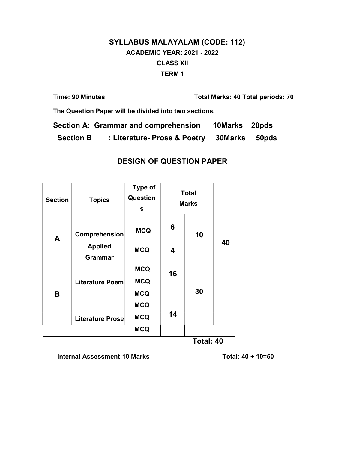# SYLLABUS MALAYALAM (CODE: 112) ACADEMIC YEAR: 2021 - 2022 CLASS XII TERM 1

| <b>Time: 90 Minutes</b> | <b>Total Marks: 40 Total periods: 70</b> |
|-------------------------|------------------------------------------|
|                         |                                          |

The Question Paper will be divided into two sections.

| Section A: Grammar and comprehension<br>10Marks 20pds |  |
|-------------------------------------------------------|--|
|-------------------------------------------------------|--|

Section B : Literature- Prose & Poetry 30 Marks 50 pds

# DESIGN OF QUESTION PAPER

| <b>Section</b> | <b>Topics</b>                    | Type of<br>Question<br>S |    | <b>Total</b><br><b>Marks</b> |    |
|----------------|----------------------------------|--------------------------|----|------------------------------|----|
| A              | Comprehension                    | <b>MCQ</b>               | 6  | 10                           |    |
|                | <b>Applied</b><br><b>Grammar</b> | <b>MCQ</b>               | 4  |                              | 40 |
|                |                                  | <b>MCQ</b>               | 16 |                              |    |
|                | Literature Poem                  | <b>MCQ</b>               |    |                              |    |
| B              |                                  | <b>MCQ</b>               |    | 30                           |    |
|                |                                  | <b>MCQ</b>               |    |                              |    |
|                | <b>Literature Prose</b>          | <b>MCQ</b>               | 14 |                              |    |
|                |                                  | <b>MCQ</b>               |    |                              |    |

Total: 40

Internal Assessment:10 Marks Total: 40 + 10=50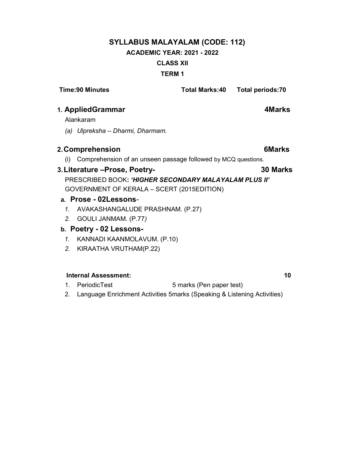# SYLLABUS MALAYALAM (CODE: 112) ACADEMIC YEAR: 2021 - 2022 CLASS XII TERM 1

# Time:90 Minutes Total Marks:40 Total periods:70 1. AppliedGrammar **4Marks** Alankaram

(a) Ulpreksha – Dharmi, Dharmam.

#### 2. Comprehension **6Marks**

(i) Comprehension of an unseen passage followed by MCQ questions.

#### 3. Literature –Prose, Poetry- 30 Marks

# PRESCRIBED BOOK: 'HIGHER SECONDARY MALAYALAM PLUS II' GOVERNMENT OF KERALA – SCERT (2015EDITION)

- a. Prose 02Lessons-
	- 1. AVAKASHANGALUDE PRASHNAM. (P.27)
	- 2. GOULI JANMAM. (P.77)

#### b. Poetry - 02 Lessons-

- 1. KANNADI KAANMOLAVUM. (P.10)
- 2. KIRAATHA VRUTHAM(P.22)

#### Internal Assessment: 10

- 1. PeriodicTest 5 marks (Pen paper test)
- 2. Language Enrichment Activities 5marks (Speaking & Listening Activities)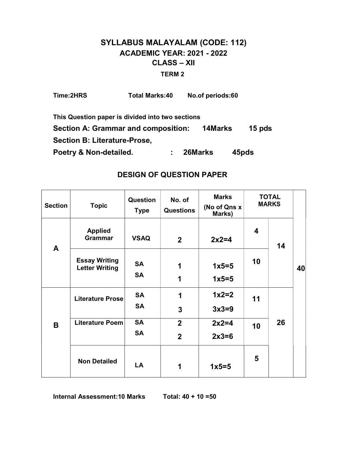# SYLLABUS MALAYALAM (CODE: 112) ACADEMIC YEAR: 2021 - 2022 CLASS – XII TERM 2

| Time:2HRS                    | <b>Total Marks:40</b>                            |         | No.of periods:60 |          |
|------------------------------|--------------------------------------------------|---------|------------------|----------|
|                              | This Question paper is divided into two sections |         |                  |          |
|                              | Section A: Grammar and composition:              |         | 14Marks          | 15 $pds$ |
| Section B: Literature-Prose, |                                                  |         |                  |          |
| Poetry & Non-detailed.       |                                                  | 26Marks |                  | 45pds    |

### DESIGN OF QUESTION PAPER

| <b>Section</b> | <b>Topic</b>                                  | Question<br><b>Type</b> | No. of<br><b>Questions</b> | <b>Marks</b><br>(No of Qns x<br>Marks) |                         | <b>TOTAL</b><br><b>MARKS</b> |    |  |
|----------------|-----------------------------------------------|-------------------------|----------------------------|----------------------------------------|-------------------------|------------------------------|----|--|
| $\mathbf{A}$   | <b>Applied</b><br><b>Grammar</b>              | <b>VSAQ</b>             | $\mathbf{2}$               | $2x2=4$                                | $\overline{\mathbf{4}}$ | 14                           |    |  |
|                | <b>Essay Writing</b><br><b>Letter Writing</b> | <b>SA</b><br><b>SA</b>  | 1<br>1                     | $1x5=5$<br>$1x5=5$                     | 10                      |                              | 40 |  |
|                | Literature Prose                              | <b>SA</b>               | 1                          | $1x2=2$                                | 11                      |                              |    |  |
|                |                                               | <b>SA</b>               | $\mathbf{3}$               | $3x3=9$                                |                         |                              |    |  |
| B              | Literature Poem                               | <b>SA</b>               | $\overline{2}$             | $2x2=4$                                | 10                      | 26                           |    |  |
|                |                                               | <b>SA</b>               | $\overline{2}$             | $2x3=6$                                |                         |                              |    |  |
|                | <b>Non Detailed</b>                           | LA                      | 1                          | $1x5=5$                                | 5                       |                              |    |  |

Internal Assessment:10 Marks Total: 40 + 10 =50